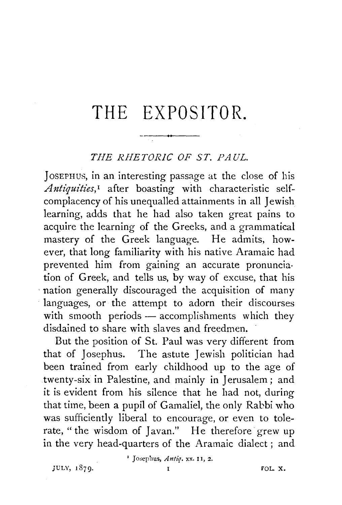## **THE EXPOSITOR.**

## *THE RHETORIC OF ST. PAUL.*

JOSEPHUS, in an interesting passage at the close of his *Antiquities*,<sup>1</sup> after boasting with characteristic selfcomplacency of his unequalled attainments in all Jewish learning, adds that he had also taken great pains to acquire the learning of the Greeks, and a grammatical mastery of the Greek language. He admits, however, that long familiarity with his native Aramaic had prevented him from gaining an accurate pronunciation of Greek, and tells us, by way of excuse, that his nation generally discouraged the acquisition of many languages, or the attempt to adorn their discourses with smooth periods - accomplishments which they disdained to share with slaves and freedmen.

But the position of St. Paul was very different from that of Josephus. The astute Jewish politician had been trained from early childhood up to the age of twenty-six in Palestine, and mainly in Jerusalem; and it is evident from his silence that he had not, during that time, been a pupil of Gamaliel, the only Rabbi who was sufficiently liberal to encourage, or even to tolerate, "the wisdom of Javan." He therefore grew up in the very head-quarters of the Aramaic dialect; and

' Josephus, *Antiq.* xx. II, 2.

JULY, 1879·

1 *VOL.* X.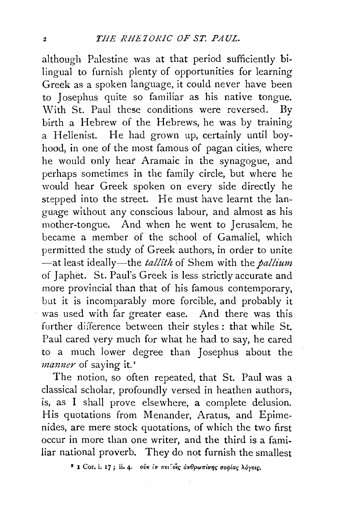although Palestine was at that period sufficiently bi· lingual to furnish plenty of opportunities for learning Greek as a spoken language, it could never have been to Josephus quite so familiar as his native tongue. With St. Paul these conditions were reversed. By birth a Hebrew of the Hebrews, he was by training a Hellenist. He had grown up, certainly until boy· hood, in one of the most famous of pagan cities, where he would only hear Aramaic in the synagogue, and perhaps sometimes in the family circle, but where he would hear Greek spoken on every side directly he stepped into the street. He must have learnt the language without any conscious labour, and almost as his mother-tongue, And when he went to Jerusalem, he became a member of the school of Gamaliel, which permitted the study of Greek authors, in order to unite -at least ideally-the *tall£th* of Shem with the *pallium*  of Japhet. St. Paul's Greek is less strictly accurate and more provincial than that of his famous contemporary, but it is incomparably more forcible, and probably it was used with far greater ease. And there was this further difference between their styles: that while St. Paul cared very much for what he had to say, he cared to a much lower degree than Josephus about the *manner* of saying it."

The notion, so often repeated, that St. Paul was a classical scholar, profoundly versed in heathen authors, is, as I shall prove elsewhere, a complete delusion. His quotations from Menander, Aratus, and Epimenides, are mere stock quotations, of which the two first occur in more than one writer, and the third is a fami. liar national proverb. They do not furnish the smallest

<sup>2</sup> I Cor. i. 17; ii. 4. *ouk iv πει*δίς ανθρωπίνης σοφίας λόγοις.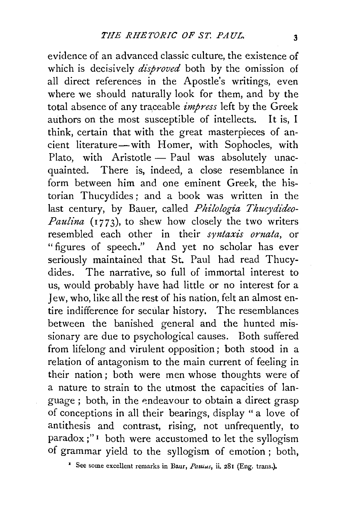evidence of an advanced classic culture, the existence of which is decisively *disproved* both by the omission of all direct references in the Apostle's writings, even where we should naturally look for them, and by the total absence of any traceable *impress* left by the Greek authors on the most susceptible of intellects. It is, I think, certain that with the great masterpieces of ancient literature-with Homer, with Sophocles, with Plato, with Aristotle - Paul was absolutely unacquainted. There is, indeed, a close resemblance in form between him and one eminent Greek, the historian Thucydides ; and a book was written in the last century, by Bauer, called *Philologia Thucydideo-Paulina* (1773), to shew how closely the two writers resembled each other in their *syntaxis ornata,* or "figures of speech." And yet no scholar has ever seriously maintained that St. Paul had read Thucydides. The narrative, so full of immortal interest to us, would probably have had little or no interest for a Jew, who, like all the rest of his nation, felt an almost entire indifference for secular history. The resemblances between the banished general and the hunted missionary are due to psychological causes. Both suffered from lifelong and virulent opposition; both stood in a relation of antagonism to the main current of feeling in their nation ; both were men whose thoughts were of a nature to strain to the utmost the capacities of language; both, in the endeavour to obtain a direct grasp of conceptions in all their bearings, display " a love of antithesis and contrast, rising, not unfrequently, to paradox;"<sup>1</sup> both were accustomed to let the syllogism of grammar yield to the syllogism of emotion ; both,

<sup>&</sup>lt;sup> $\bullet$ </sup> See some excellent remarks in Baur, *Pattius*, ii, 281 (Eng. trans.).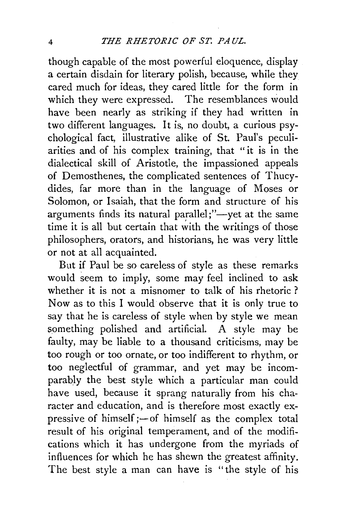though capable of the most powerful eloquence, display a certain disdain for literary polish, because, while they cared much for ideas, they cared little for the form in which they were expressed. The resemblances would have been nearly as striking if they had written in two different languages. It is, no doubt, a curious psychological fact, illustrative alike of St. Paul's peculiarities and of his complex training, that "it is in the dialectical skill of Aristotle, the impassioned appeals of Demosthenes, the complicated sentences of Thucydides, far more than in the language of Moses or Solomon, or Isaiah, that the form and structure of his arguments finds its natural parallel;"-yet at the same time it is all but certain that with the writings of those philosophers, orators, and historians, he was very little or not at all acquainted.

But if Paul be so careless of style as these remarks would seem to imply, some may feel inclined to ask whether it is not a misnomer to talk of his rhetoric ? Now as to this I would observe that it is only true to say that he is careless of style when by style we mean something polished and artificial. A style may be faulty, may be liable to a thousand criticisms, may be too rough or too ornate, or too indifferent to rhythm, or too neglectful of grammar, and yet may be incomparably the best style which a particular man could have used, because it sprang naturally from his character and education, and is therefore most exactly expressive of himself  $;$  -of himself as the complex total result of his original temperament, and of the modifications which it has undergone from the myriads of influences for which he has shewn the greatest affinity. The best style a man can have is "the style of his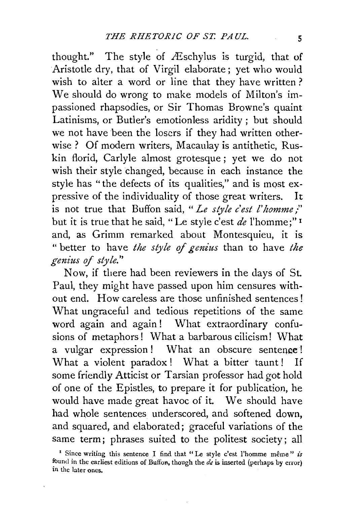thought." The style of Æschylus is turgid, that of Aristotle dry, that of Virgil elaborate; yet who would wish to alter a word or line that they have written? We should do wrong to make models of Milton's impassioned rhapsodies, or Sir Thomas Browne's quaint Latinisms, or Butler's emotionless aridity; but should we not have been the losers if they had written otherwise ? Of modern writers, Macaulay is antithetic, Ruskin florid, Carlyle almost grotesque; yet we do not wish their style changed, because in each instance the style has "the defects of its qualities," and is most expressive of the individuality of those great writers. It is not true that Buffon said, "Le style c'est l'homme;" but it is true that he said, "Le style c'est *de* l'homme;"<sup>1</sup> and, as Grimm remarked about Montesquieu, it is "better to have *the style* of *genius* than to have *the genius* of *style."* 

Now, if there had been reviewers in the days of St. Paul, they might have passed upon him censures without end. How careless are those unfinished sentences! What ungraceful and tedious repetitions of the same word again and again ! What extraordinary confusions of metaphors ! What a barbarous cilicism! What a vulgar expression! What an obscure sentence! What a violent paradox ! What a bitter taunt ! If some friendly Atticist or Tarsian professor had got hold of one of the Epistles, to prepare it for publication, he would have made great havoc of it. We should have had whole sentences underscored, and softened down, and squared, and elaborated; graceful variations of the same term; phrases suited to the politest society; all

<sup>&</sup>lt;sup>1</sup> Since writing this sentence I find that "Le style c'est l'homme même" *is* fuund in the earliest editions of Buffon, though the *de* is inserted (perhaps by error) in the later ones.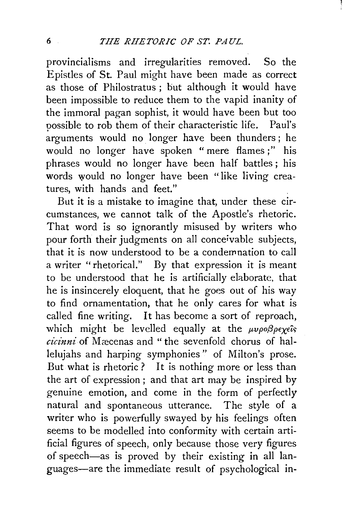provincialisms and irregularities removed. So the Epistles of St. Paul might have been made as correct as those of Philostratus ; but although it would have been impossible to reduce them to the vapid inanity of the immoral pagan sophist, it would have been but too possible to rob them of their characteristic life. Paul's arguments would no longer have been thunders ; he would no longer have spoken "mere flames;" his phrases would no longer have been half battles ; his words would no longer have been "like living creatures, with hands and feet."

But it is a mistake to imagine that, under these circumstances, we cannot talk of the Apostle's rhetoric. That word is so ignorantly misused by writers who pour forth their judgments on all conceivable subjects, that it is now understood to be a condemnation to call a writer "rhetorical." By that expression it is meant to be understood that he is artificially elaborate, that he is insincerely eloquent, that he goes out of his way to find ornamentation, that he only cares for what is called fine writing. It has become a sort of reproach, which might be levelled equally at the  $\mu\nu\rho o \beta \rho \epsilon \chi \epsilon \hat{i} s$ *cicinni* of Mæcenas and "the sevenfold chorus of hallelujahs and harping symphonies" of Milton's prose. But what is rhetoric ? It is nothing more or less than the art of expression; and that art may be inspired by genuine emotion, and come in the form of perfectly natural and spontaneous utterance. The style of a writer who is powerfully swayed by his feelings often seems to be modelled into conformity with certain artificial figures of speech, only because those very figures of speech-as is proved by their existing in all languages-are the immediate result of psychological in-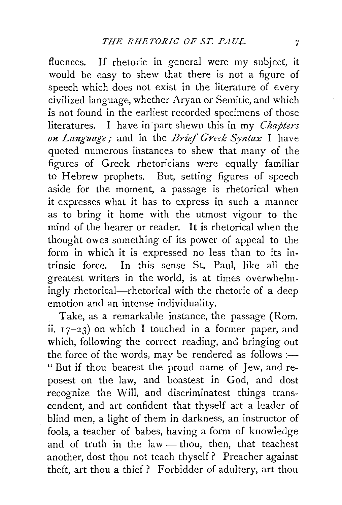fluences. If rhetoric in general were my subject, it would be easy to shew that there is not a figure of speech which does not exist in the literature of every civilized language, whether Aryan or Semitic, and which is not found in the earliest recorded specimens of those literatures. I have in part shewn this in my *Chapters on Language;* and in the *Brief Greek Syntax* I have quoted numerous instances to shew that many of the figures of Greek rhetoricians were equally familiar to Hebrew prophets. But, setting figures of speech aside for the moment, a passage is rhetorical when it expresses what it has to express in such a manner as to bring it home with the utmost vigour to the mind of the hearer or reader. It is rhetorical when the thought owes something of its power of appeal to the form in which it is expressed no less than to its intrinsic force. In this sense St. Paul, like all the greatest writers in the world, is at times overwhelmingly rhetorical—rhetorical with the rhetoric of a deep emotion and an intense individuality.

Take, as a remarkable instance, the passage (Rom. ii.  $17-23$  on which I touched in a former paper, and which, following the correct reading, and bringing out the force of the words, may be rendered as follows: $\frac{...}{...}$ " But if thou bearest the proud name of Jew, and reposest on the law, and boastest in God, and dost recognize the Will, and discriminatest things transcendent, and art confident that thyself art a leader of blind men, a light of them in darkness, an instructor of fools, a teacher of babes, having a form of knowledge and of truth in the law  $-$  thou, then, that teachest another, dost thou not teach thyself? Preacher against theft, art thou a thief? Forbidder of adultery, art thou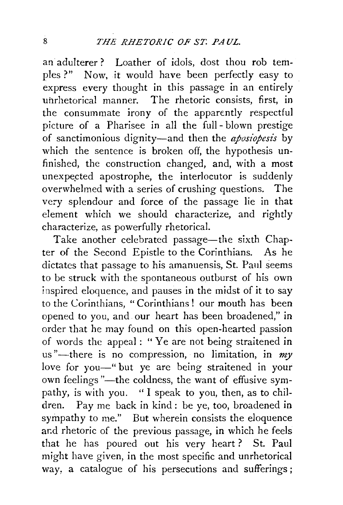an adulterer? Loather of idols, dost thou rob temples ?" Now, it would have been perfectly easy to express every thought in this passage in an entirely uhrhetorical manner. The rhetoric consists, first, in the consummate irony of the apparently respectful picture of a Pharisee in all the full- blown prestige of sanctimonious dignity—and then the *aposiopesis* by which the sentence is broken off, the hypothesis unfinished, the construction changed, and, with a most unexpected apostrophe, the interlocutor is suddenly overwhelmed with a series of crushing questions. The very splendour and force of the passage lie in that element which we should characterize, and rightly characterize, as powerfully rhetorical.

Take another celebrated passage-the sixth Chapter of the Second Epistle to the Corinthians. As he dictates that passage to his amanuensis, St. Paul seems to be struck with the spontaneous outburst of his own inspired eloquence, and pauses in the midst of it to say to the Corinthians, " Corinthians ! our mouth has been opened to you, and our heart has been broadened," in order that he may found on this open-hearted passion of words the appeal : " Ye are not being straitened in us "-there is no compression, no limitation, in *my*  love for you-" but ye are being straitened in your own feelings "-the coldness, the want of effusive sympathy, is with you. " I speak to you, then, as to children. Pay me back in kind : be ye, too, broadened in sympathy to me." But wherein consists the eloquence and rhetoric of the previous passage, in which he feels that he has poured out his very heart ? St. Paul might have given, in the most specific and unrhetorical way, a catalogue of his persecutions and sufferings;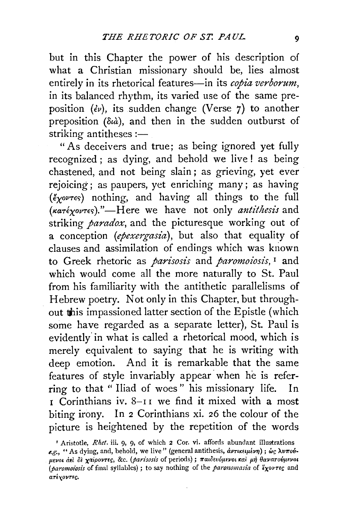but in this Chapter the power of his description of what a Christian missionary should be, lies almost entirely in its rhetorical features-in its *copia verborum*, in its balanced rhythm, its varied use of the same preposition  $(ev)$ , its sudden change (Verse 7) to another preposition ( $\delta u$ ), and then in the sudden outburst of striking antitheses : $-$ 

"As deceivers and true; as being ignored yet fully recognized; as dying, and behold we live! as being chastened, and not being slain ; as grieving, yet ever rejoicing; as paupers, yet enriching many; as having (€xowrec;) nothing, and having all things to the full *(«aTEXoVTec;)."-Here* we have not only *antithesis* and striking *paradox,* and the picturesque working out of a conception *(epexergasia),* but also that equality of clauses and assimilation of endings which was kriown to Greek rhetoric as *parisosis* and *paromoiosis,* 1 and which would come all the more naturally to St. Paul from his familiarity with the antithetic parallelisms of Hebrew poetry. Not only in this Chapter, but throughout this impassioned latter section of the Epistle (which some have regarded as a separate letter), St. Paul is evidently' in what is called a rhetorical mood, which is merely equivalent to saying that he is writing with deep emotion. And it is remarkable that the same features of style invariably appear when he is referring to that " Iliad of woes" his missionary life. In  $\tau$  Corinthians iv. 8-11 we find it mixed with a most biting irony. In 2 Corinthians xi. 26 the colour of the picture is heightened by the repetition of the words

<sup>r</sup>Aristotle, *Rhet.* iii. 9, 9, of which 2 Cor. vi. affords abundant illustrations e.g., "As dying, and, behold, we live" (general antithesis, άντικειμένη); ως λυπούμενοι αεί δε χαίροντες, &c. (parisosis of periods); παιδευόμενοι και μη θανατούμενοι (paromoiosis of final syllables) ; to say nothing of the *paronomasia* of  $\ell_X$ ovreg and ατέγοντες.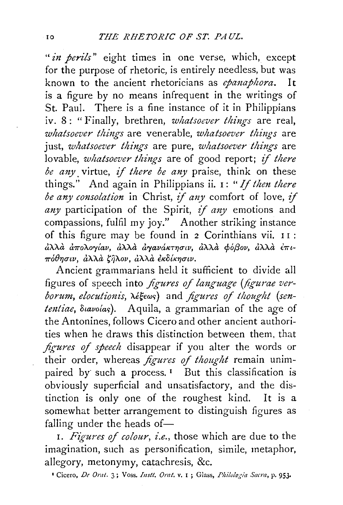*"in perils"* eight times in one verse, which, except for the purpose of rhetoric, is entirely needless, but was known to the ancient rhetoricians as *epanaphora.* It is a figure by no means infrequent in the writings of St. Paul. There is a fine instance of it in Philippians iv. 8: "Finally, brethren, *whatsoever things* are real, *whatsoever things* are venerable, *whatsoever things* are just, *whatsoever things* are pure, *whatsoever things* are lovable, *whatsoever things* are of good report; *if there be any.* virtue, if *there be any* praise, think on these things." And again in Philippians ii. I: *"If then there be any consolation* in Christ, *if any* comfort of love, if *any* participation of the Spirit, if *any* emotions and compassions, fulfil my joy." Another striking instance of this figure may be found in 2 Corinthians vii. I I :  $d\lambda\lambda\dot{a}$   $d\pi$ ολογίαν,  $d\lambda\lambda\dot{a}$   $d\gamma$ ανάκτησιν,  $d\lambda\lambda\dot{a}$  φόβον,  $d\lambda\lambda\dot{a}$  έπιπόθησιν, άλλά ζήλον, άλλά εκδίκησιν.

Ancient grammarians held it sufficient to divide all figures of speech into *figures of language (figurae verborum, elocutionis, λέξεως)* and *figures of thought (sententiae, Suavoias*). Aquila, a grammarian of the age of the Antonines, follows Cicero and other ancient authorities when he draws this distinction between them, that *figures of speech* disappear if you alter the words or their order, whereas *figures of thought* remain unimpaired by such a process.<sup>1</sup> But this classification is obviously superficial and unsatisfactory, and the distinction is only one of the roughest kind. It is a somewhat better arrangement to distinguish figures as falling under the heads of-

I. *Figures of colour, i.e.*, those which are due to the imagination, such as personification, simile, metaphor, allegory, metonymy, catachresis, &c.

<sup>1</sup> Cicero, *De Orat.* 3; Voss. *Instt. Orat.* v. I; Glass, *Philologia Sacra*, p. 953.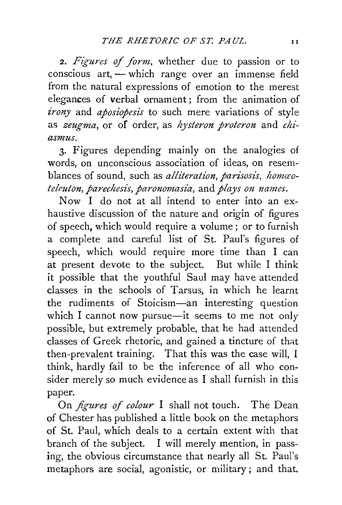2. *Figures of form,* whether due to passion or to conscious art, - which range over an immense field from the natural expressions of emotion to the merest elegances of verbal ornament ; from the animation of *irony* and *aposiopesis* to such mere variations of style as *zeugma*, or of order, as *hysteron proteron* and *chiasmus.* 

3· Figures depending mainly on the analogies of words, on unconscious association of ideas, on resemblances of sound, such as *alliteration*, parisosis, homco*teleuton, parechesis, paronomasia, and plays on names.* 

Now I do not at all intend to enter into an exhaustive discussion of the nature and origin of figures of speech, which would require a volume; or to furnish a complete and careful list of St. Paul's figures of speech, which would require more time than I can at present devote to the subject. But while I think it possible that the youthful Saul may have attended classes in the schools of Tarsus, in which he learnt the rudiments of Stoicism-an interesting question which I cannot now pursue-it seems to me not only possible, but extremely probable, that he had attended classes of Greek rhetoric, and gained a tincture of that then-prevalent training. That this was the case will, I think, hardly fail to be the inference of all who consider merely so much evidence as I shall furnish in this paper.

On *figures of colour* I shall not touch. The Dean of Chester has published a little book on the metaphors of St. Paul, which deals to a certain extent with that branch of the subject. I will merely mention, in passing, the obvious circumstance that nearly all St. Paul's metaphors are social, agonistic, or military; and that.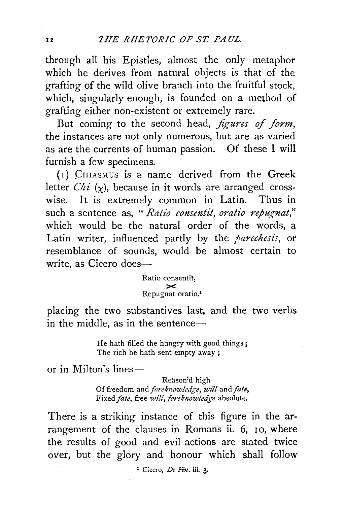through all his Epistles, almost the only metaphor which he derives from natural objects is that of the grafting of the wild olive branch into the fruitful stock, which, singularly enough, is founded on a method of grafting either non-existent or extremely rare.

But coming to the second head, *figures of form*, the instances are not only numerous, but are as varied as are the currents of human passion. Of these I will furnish a few specimens.

 $(1)$  CHIASMUS is a name derived from the Greek letter *Chi*  $(\chi)$ , because in it words are arranged crosswise. It is extremely common in Latin. Thus in such a sentence as, *"Ratio consentit, oratio repugnat,"*  which would be the natural order of the words, a Latin writer, influenced partly by the *parechesis*, or resemblance of sounds, would be almost certain to write, as Cicero does-

> Ratio consentit,  $\geq$ Repugnat oratio.•

placing the two substantives last, and the two verbs in the middle, as in the sentence $-$ 

> He hath filled the hungry with good things; The rich he hath sent empty away ;

or in Milton's lines-

Reason'd high Of freedom and *foreknowledge*, will and fate, Fixed *fate,* free *will,foreknowledge* absolute.

There is a striking instance of this figure in the arrangement of the clauses in Romans ii. 6, 10, where the results of good and evil actions are stated twice over, but the glory and honour which shall follow

' Cicero, *De Fin.* iii. 3·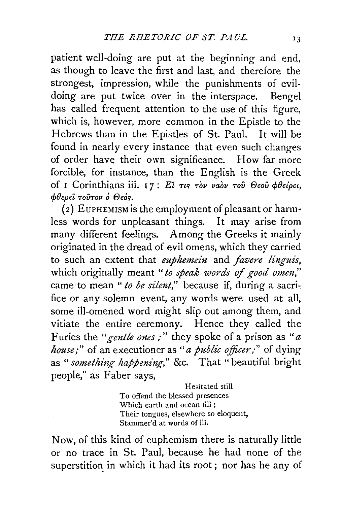patient well-doing are put at the beginning and end, as though to leave the first and last, and therefore the strongest, impression, while the punishments of evildoing are put twice over in the interspace. Bengel has called frequent attention to the use of this figure, which is, however, more common in the Epistle to the Hebrews than in the Epistles of St. Paul. It will be found in nearly every instance that even such changes of order have their own significance. How far more forcible, for instance, than the English is the Greek of *I* Corinthians iii. 17: Εί τις τὸν ναὸν τοῦ Θεοῦ φθείρει,  $\phi$ θερεί τούτον ο Θεός.

(2) EuPHEMISM is the employment of pleasant or harmless words for unpleasant things. It may arise from many different feelings. Among the Greeks it mainly originated in the dread of evil omens, which they carried to such an extent that *euphemein* and *favere linguis,*  which originally meant " to speak words of good omen," came to mean " to be silent," because if, during a sacrifice or any solemn event, any words were used at all, some ill-omened word might slip out among them, and vitiate the entire ceremony. Hence they called the Furies the "gentle ones;" they spoke of a prison as "a *house;"* of an executioner as "*a public officer;"* of dying as *"something happening,"* &c. That "beautiful bright people," as Faber says,

> Hesitated still To offend the blessed presences Which earth and ocean fill ; Their tongues, elsewhere so eloquent, Stammer'd at words of ill.

Now, of this kind of euphemism there is naturally little or no trace in St. Paul, because he had none of the superstition in which it had its root; nor has he any of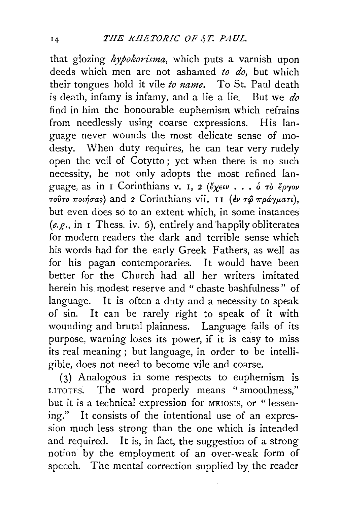that glozing *hypokorisma*, which puts a varnish upon deeds which men are not ashamed *to do,* but which their tongues hold it vile *to name.* To St. Paul death is death, infamy is infamy, and a lie a lie. But we *do*  find in him the honourable euphemism which refrains from needlessly using coarse expressions. His language never wounds the most delicate sense of modesty. When duty requires, he can tear very rudely open the veil of Cotytto ; yet when there is no such necessity, he not only adopts the most refined language, as in *I* Corinthians v. *I*, *2* (*ἔχειν* . . . *ὁ τὸ ἔργον Toῦτο ποιήσας*) and 2 Corinthians vii. II (εν τώ πράγματι), but even does so to an extent which, in some instances  $(e.g., in I$  Thess. iv. 6), entirely and happily obliterates for modern readers the dark and terrible sense which his words had for the early Greek Fathers, as well as for his pagan contemporaries. It would have been better for the Church had all her writers imitated herein his modest reserve and " chaste bashfulness " of language. It is often a duty and a necessity to speak of sin. It can be rarely right to speak of it with wounding and brutal plainness. Language fails of its purpose, warning loses its power, if it is easy to miss its real meaning; but language, in order to be intelligible, does not need to become vile and coarse.

(3) Analogous in some respects to euphemism is LITOTES. The word properly means "smoothness," but it is a technical expression for MEIOSIS, or "lessening." It consists of the intentional use of an expression much less strong than the one which is intended and required. It is, in fact, the suggestion of a strong notion by the employment of an over-weak form of speech. The mental correction supplied by the reader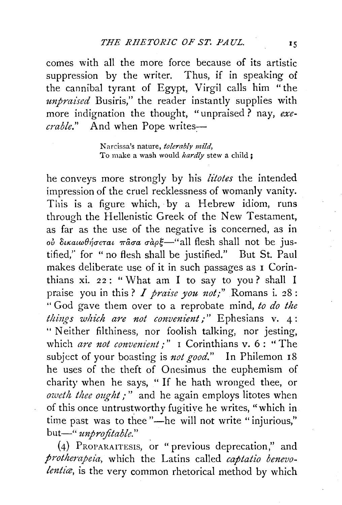comes with all the more force because of its artistic suppression by the writer. Thus, if in speaking of the cannibal tyrant of Egypt, Virgil calls him "the *unpraised* Busiris," the reader instantly supplies with more indignation the thought, "unpraised? nay, *execrable.*" And when Pope writes-

> N arcissa's nature, *tolerably mild,*  To make a wash would *hardly* stew a child ;

he conveys more strongly by his *litotes* the intended impression of the cruel recklessness of womanly vanity. This is a figure which, by a Hebrew idiom, runs through the Hellenistic Greek of the New Testament, as far as the use of the negative is concerned, as in oὐ δικαιωθήσεται πασα σαρξ—"all flesh shall not be justified,'' for " no flesh shall be justified." But St. Paul makes deliberate use of it in such passages as I Corinthians xi.  $22:$  "What am I to say to you? shall I praise you in this? *I praise you not;"* Romans i. 28: " God gave them over to a reprobate mind, *to do the thi11gs which are not convenient;"* Ephesians v. 4: " Neither filthiness, nor foolish talking, nor jesting, which *are not convenient*;" I Corinthians v. 6: "The subject of your boasting is *not good."* In Philemon I8 he uses of the theft of Onesimus the euphemism of charity when he says, " If he hath wronged thee, or *oweth thee ought;*" and he again employs litotes when of this once untrustworthy fugitive he writes, "which in time past was to thee "-he will not write "injurious," but-" *unprofitable.*"

(4) PROPARAITESIS, or "previous deprecation," and *protherapeia,* which the Latins called *captatio benevo*lentia, is the very common rhetorical method by which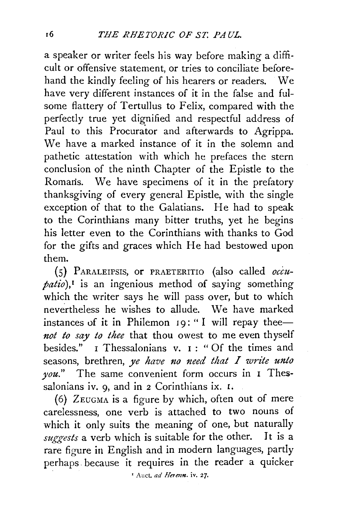a speaker or writer feels his way before making a difficult or offensive statement, or tries to conciliate beforehand the kindly feeling of his hearers or readers. We have very different instances of it in the false and fulsome flattery of Tertullus to Felix, compared with the perfectly true yet dignified and respectful address of Paul to this Procurator and afterwards to Agrippa. We have a marked instance of it in the solemn and pathetic attestation with which he prefaces the stern conclusion of the ninth Chapter of the Epistle to the Romans. We have specimens of it in the prefatory thanksgiving of every general Epistle, with the single exception of that to the Galatians. He had to speak to the Corinthians many bitter truths, yet he begins his letter even to the Corinthians with thanks to God for the gifts and graces which He had bestowed upon them.

(5) PARALEIPSIS, OF PRAETERITIO (also called *occupatio),1* is an ingenious method of saying something which the writer says he will pass over, but to which nevertheless he wishes to allude. We have marked instances of it in Philemon  $19:$  "I will repay thee-*1tot to say to thee* that thou owest to me even thyself besides." I Thessalonians v.  $I : "Of the times and$ seasons, brethren, *ye have no need that I write unto you."* The same convenient form occurs in I Thessalonians iv.  $q$ , and in  $2$  Corinthians ix.  $I$ .

(6) ZEUGMA is a figure by which, often out of mere carelessness, one verb is attached to two nouns of which it only suits the meaning of one, but naturally *suggests* a verb which is suitable for the other. It is a rare figure in English and in modern languages, partly perhaps. because it requires in the reader a quicker

' Auct. *ad Hetmn.* iv. 27.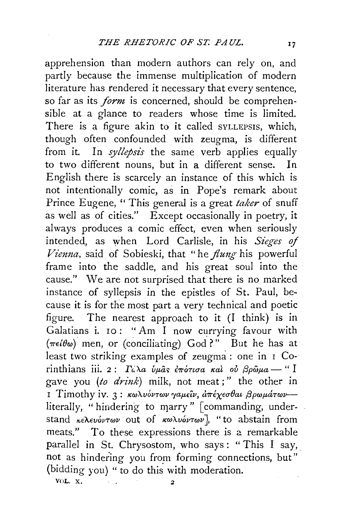apprehension than modern authors can rely on, and partly because the immense multiplication of modern literature has rendered it necessary that every sentence, so far as its *form* is concerned, should be comprehensible at a glance to readers whose time is limited. There is a figure akin to it called SYLLEPSIS, which, though often confounded with zeugma, is different from it. In *syllepsis* the same verb applies equally to two different nouns, but in a different sense. In English there is scarcely an instance of this which is not intentionally comic, as in Pope's remark about Prince Eugene, ''This general is a great *taker* of snuff as well as of cities." Except occasionally in poetry, it always produces a comic effect, even when seriously intended, as when Lord Carlisle, in his *Sieges of Viemza,* said of Sobieski, that "he *flung* his powerful frame into the saddle, and his great soul into the cause." We are not surprised that there is no marked instance of syllepsis in the epistles of St. Paul, because it is for the most part a very technical and poetic figure. The nearest approach to it (I think) is in Galatians i. 10: "Am I now currying favour with  $(\pi \epsilon i \theta \omega)$  men, or (conciliating) God?" But he has at least two striking examples of zeugma: one in I Corinthians iii. 2:  $\Gamma_{\mu} \lambda a \psi_{\mu} a \xi \partial_{\tau} \phi \gamma \partial_{\nu} a \partial_{\mu} a \partial_{\nu} \phi \partial_{\mu} a \rightarrow 0$ <sup>"</sup> I gave you *(to drink)* milk, not meat;" the other in I Timothy iv. 3: κωλυόντων γαμείν, απέχεσθαι βρωμάτωνliterally, "hindering to marry" [commanding, understand *κελευόντων* out of *κωλυόντων*], "to abstain from meats." To these expressions there is a remarkable parallel in St. Chrysostom, who says : "This I say, not as hindering you from forming connections, but" (bidding you) " to do this with moderation.

VOL. X.  $\qquad \qquad 2$ 

 $17$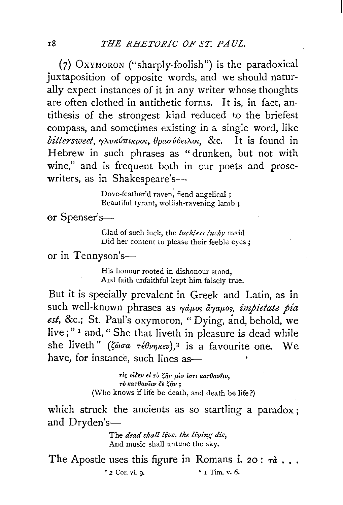$(7)$  Oxymoron ("sharply-foolish") is the paradoxical juxtaposition of opposite words, and we should naturally expect instances of it in any writer whose thoughts are often clothed in antithetic forms. It is, in fact, antithesis of the strongest kind reduced to the briefest compass, and sometimes existing in a single word, like bittersweet, *γλυκύπικρος*, θρασύδειλος, &c. It is found in Hebrew in such phrases as "drunken, but not with wine," and is frequent both in our poets and prosewriters, as in Shakespeare's-

> Dove-feather'd raven, fiend angelical ; Beautiful tyrant, wolfish-ravening lamb ;

or Spenser's-

Glad of such luck, the *luckless lucky* maid Did her content to please their feeble eyes;

or in Tennyson's-

His honour rooted in dishonour stood, And faith unfaithful kept him falsely true.

But it is specially prevalent in Greek and Latin, as in such well-known phrases as  $\gamma \dot{a} \mu$ os  $\dot{a} \gamma \dot{a} \mu$ pietate pia *est,* &c.; St. Paul's oxymoron, "Dying, and, behold, we live;" 1 and, "She that liveth in pleasure is dead while she liveth" *(ζώσα τέθνηκεν)*,<sup>2</sup> is a favourite one. We have, for instance, such lines as-

> ri~ *o10Ev el rO* ~ijv **f1Ev** *iart* ~earOavEtv, *ro .:ar9av'itv OE i;;ijv* ; (Who knows if life be death, and death be life?)

which struck the ancients as so startling a paradox : and  $Dryden's$ —

> The *dead shall live, the living die,* And music shall untune the sky.

The Apostle uses this figure in Romans i. 20:  $\tau d$ .  $\frac{1}{2}$  Cor. vi. q.  $\frac{1}{2}$  Tim. v. 6.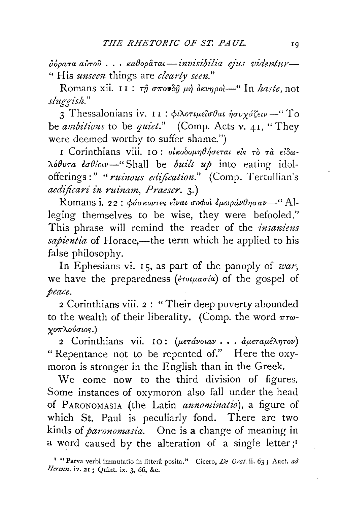*aopaTa avTOU* .. · *KaBopamt-invisibilia ejzts videntur-* " His *unseen* things are *clearly seen."* 

Romans xii. II : τη σπουδή μή δκυηροί-" In *haste*, not *sluggish."* 

3 Thessalonians iv. II :  $\phi \iota \lambda \sigma \iota \mu \epsilon \iota \sigma \theta \sigma \iota \eta \sigma \nu \chi \iota \zeta \epsilon \nu$ <sup>"</sup> To be *ambitious* to be *quiet."* (Comp. Acts v. 41, "They were deemed worthy to suffer shame.")

I Corinthians viii. IO: *olkobounθήσεται είς τὸ τὰ εἰδω A.6Bvm luBfew-"* Shall be *built up* into eating idolofferings:" *"ruinous edification."* (Comp. Tertullian's *aedificari in ruinam, Praescr.* 3·)

Romans i. 22 : φάσκοντες είναι σοφοί έμωράνθησαν-" Alleging themselves to be wise, they were befooled." This phrase will remind the reader of the *insaniens*  sapientia of Horace,—the term which he applied to his false philosophy.

In Ephesians vi. 15, as part of the panoply of *war,*  we have the preparedness (*erotuasia*) of the gospel of *peace.* 

2 Corinthians viii. 2 : "Their deep poverty abounded to the wealth of their liberality. (Comp. the word  $\pi\tau\omega$ - $\gamma$ *oπλούσιος.*)

2 Corinthians vii. IO: (μετάνοιαν ... αμεταμέλητον) "Repentance not to be repented of." Here the oxymoron is stronger in the English than in the Greek.

We come now to the third division of figures. Some instances of oxymoron also fall under the head of PARONOMASIA (the Latin *annominatio),* a figure of which St. Paul is peculiarly fond. There are two kinds of *paronomasia.* One is a change of meaning in a word caused by the alteration of a single letter;<sup>1</sup>

<sup>&</sup>lt;sup>1</sup> "Parva verbi immutatio in litterâ posita." Cicero, *De Orat.* ii. 63; Auct. *ad Herenn.* iv. 21 ; Quint. ix. 3, 66, &c.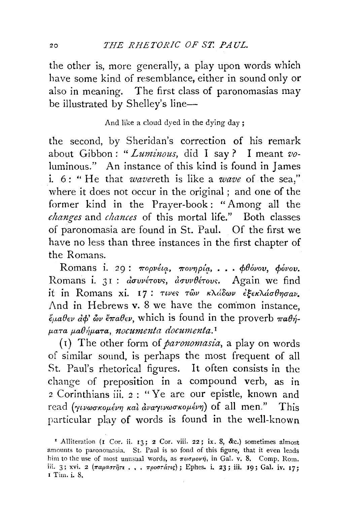the other is, more generally, a play upon words which have some kind of resemblance, either in sound only or also in meaning. The first class of paronomasias may be illustrated by Shelley's line-

And like a cloud dyed in the dying day;

the second, by Sheridan's correction of his remark about Gibbon: "Luminous, did I say? I meant voluminous." An instance of this kind is found in James i. 6: " He that *wavereth* is like a *wave* of the sea/' where it does not occur in the original; and one of the former kind in the Prayer-book: "Among all the *changes* and *chances* of this mortal life." Both classes of paronomasia are found in St. Paul. Of the first we have no less than three instances in the first chapter of the Romans.

Romans i. 29: πορνέια, πονηρία, **. . . φθόνου**, φόνο**υ.** Romans i. 31 : *dσυνέτους, dσυνθέτους.* Again we find it in Romans xi. 17: *τινες των κλάδων έξεκλάσθησαν.* And in Hebrews v. 8 we have the common instance.  $\ddot{\epsilon}_{\mu}a\theta_{\epsilon\nu}d\phi'$  *ών <del>«π</del>αθεν*, which is found in the proverb παθή*p.a-ra p.a&1)p.a-ra, nocumenta documenta.* <sup>1</sup>

(I) The other form of *paronomasia,* a play on words of similar sound, is perhaps the most frequent of all St. Paul's rhetorical figures. It often consists in the change of preposition in a compound verb, as in *<sup>2</sup>*Corinthians iii. *2* : " Ye are our epistle, known and read (γινωσκομένη και αναγινωσκομένη) of all men." This particular play of words is found in the well-known

<sup>&</sup>lt;sup>I</sup> Alliteration (I Cor. ii. 13; 2 Cor. viii. 22; ix. 8, &c.) sometimes almost amounts to paronomasia. St. Paul is so fond of this figure, that it even leads him to the use of most unusual words, as  $\pi\epsilon\sigma\mu o\nu\eta$ , in Gal. v. 8. Comp. Rom. iii. 3; xvi. 2  $(\pi a \rho a \sigma \tau \tilde{\eta} \tau \epsilon$ .,  $\pi \rho o \sigma \tau \tilde{\alpha} \tau \iota \zeta)$ ; Ephes. i. 23; iii. 19; Gal. iv. 17; I Tim. i. 8,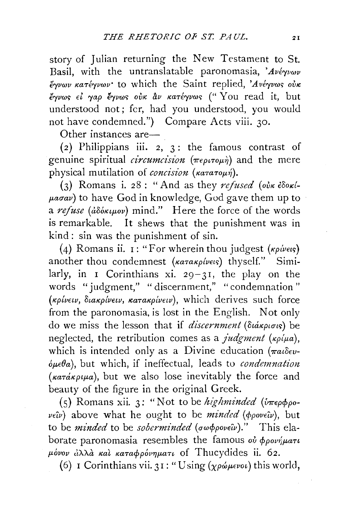story of Julian returning the New Testament to St. Basil, with the untranslatable paronomasia, 'Aveyvwv  $\ddot{\epsilon}$ γνων κατέγνων· to which the Saint replied, 'Ανέγνως ούκ *€"fVW<;* " , , , ~ ' (" y d 't b t *et ryap €"fVW<; OVK av /CaTE"fVW<;* OU rea 1 , U understood not ; fer, had you understood, you would not have condemned.") Compare Acts viii. 30.

Other instances are-

(2) Philippians iii. 2, 3: the famous contrast of genuine spiritual *circumcision* (περιτομή) and the mere physical mutilation of *concision* (κατατομή).

(3) Romans i. 28: "And as they  $refused$  (oin  $\epsilon$   $\delta$ o $\kappa$ *i*- $\mu$ *asav*) to have God in knowledge, God gave them up to a *refuse* (adó*kupov*) mind." Here the force of the words is remarkable. It shews that the punishment was in kind : sin was the punishment of sin.

(4) Romans ii. I: "For wherein thou judgest ( $\kappa \rho / \nu \epsilon \iota$ s) another thou condemnest *(KaraKpivets*) thyself." Similarly, in I Corinthians xi.  $29-31$ , the play on the words "judgment," "discernment," "condemnation " *(KpfvEw, DtaKpfvHv, KaTaKpivEtv),* which derives such force from the paronomasia, is lost in the English. Not only do we miss the lesson that if *discernment* (διάκρισις) be neglected, the retribution comes as a *judgment* ( $\kappa \rho/\mu a$ ), which is intended only as a Divine education ( $\pi a_1 \delta \epsilon \nu$ - $\delta \mu \in \theta$ a), but which, if ineffectual, leads to *condemnation*  $(\kappa a \tau a \kappa \rho \mu a)$ , but we also lose inevitably the force and beauty of the figure in the original Greek.

(5) Romans xii. 3: "Not to be *highminded* (*υπερφρ*ο- $\nu \in \hat{\mu}$  above what he ought to be *minded* ( $\phi \rho \circ \nu \in \hat{\mu}$ ), but to be *minded* to be *soberminded* (σωφρονεῖν)." This elaborate paronomasia resembles the famous  $\omega^j \phi \rho \omega \gamma^j \mu \alpha \tau \nu$ *11-ovov ti"A-A-a Kal Kamrf>pov7JfJ-an* of Thucydides ii. 62.

(6) I Corinthians vii. 31: "Using  $(\chi \rho \omega \mu \epsilon \nu o \nu)$  this world,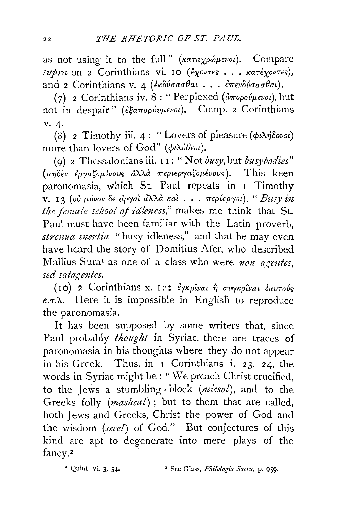as not using it to the full" (*KaTaxpwevou*). Compare *supra* on 2 Corinthians vi. 10 (*έχοντες* . . . *κατέχοντες*), and 2 Corinthians v. 4 (*εκδύσασθαι... επενδύσασθαι*).

( 7) 2 Corinthians iv. 8 : " Perplexed ( *arropOVJ.LEVOt),* but not in despair" (εξαπορόυμενοι). Comp. 2 Corinthians V. 4·

(8) 2 Timothy iii. 4 : "Lovers of pleasure  $(\phi \wedge \psi \wedge \phi \wedge \psi)$ more than lovers of  $God$ " ( $\phi \iota \lambda \phi \theta \epsilon \iota \iota$ ).

( 9) 2 Thessalonians iii. I I : " Not *busy,* but *busybodies"*  luηδεν εργαζομένους αλλά περιεργαζομένους). This keen paronomasia, which St. Paul repeats in I Timothy  $v. I3$  (ού μόνον δε άργαι άλλα και . . . περίεργοι), " Busy in *the female school of idlmess,"* makes me think that St. Paul must have been familiar with the Latin proverb, strenua inertia, "busy idleness," and that he may even have heard the story of Domitius Afer, who described Mallius Sura<sup>1</sup> as one of a class who were *non agentes*, *sed satagentes.* 

(IO) 2 Corinthians x. I2: εγκρίναι ή συγκρίναι έαυτούς  $\kappa$ . $\tau$ . $\lambda$ . Here it is impossible in English to reproduce the paronomasia.

It has been supposed by some writers that, since Paul probably *thought* in Syriac, there are traces of paronomasia in his thoughts where they do not appear in his Greek. Thus, in 1 Corinthians i. 23, 24, the words in Syriac might be : "We preach Christ crucified, to the Jews a stumbling- block *(micsol),* and to the Greeks folly *(mashcal)* ; but to them that are called, both Jews and Greeks, Christ the power of God and the wisdom *(secel)* of God." But conjectures of this kind are apt to degenerate into mere plays of the fancy.<sup>2</sup>

<sup>2</sup> Quint. vi. 3, 54. <sup>2</sup> See Glass, *Philologia Sacra*, p. 959.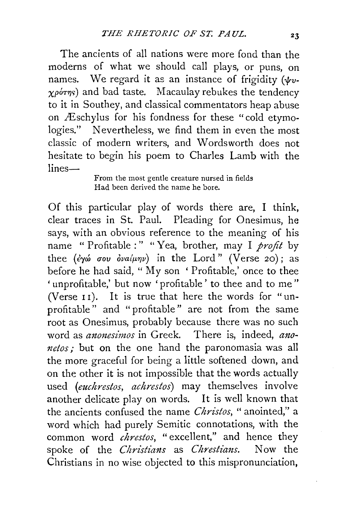The ancients of all nations were more fond than the moderns of what we should call plays, or puns, on names. We regard it as an instance of frigidity ( $\psi$ v- $\chi\rho\acute{o}$ *rns*) and bad taste. Macaulay rebukes the tendency to it in Southey, and classical commentators heap abuse on Æschylus for his fondness for these "cold etymologies." Nevertheless, we find them in even the most classic of modern writers, and Wordsworth does not hesitate to begin his poem to Charles Lamb with the  $lines-$ 

From the most gentle creature nursed in fields Had been derived the name he bore.

Of this particular play of words there are, I think, clear traces in St. Paul. Pleading for Onesimus, he says, with an obvious reference to the meaning of his name " Profitable :" " Yea, brother, may I *profit* by thee (ey *cou dva*( $\mu$ nv) in the Lord" (Verse 20); as before he had said, " My son ' Profitable,' once to thee ' unprofitable,' but now 'profitable' to thee and to me" (Verse 11). It is true that here the words for "unprofitable" and "profitable" are not from the same root as Onesimus, probably because there was no such word as *anonesimos* in Greek. There is, indeed, ano*netos;* but on the one hand the paronomasia was all the more graceful for being a little softened down, and on the other it is not impossible that the words actually used *(euchrestos, achrestos)* may themselves involve another delicate play on words. It is well known that the ancients confused the name *Christos,* " anointed," a word which had purely Semitic connotations, with the common word *chrestos*, "excellent," and hence they spoke of the *Christians* as *Chrestians.* Now the Christians in no wise objected to this mispronunciation,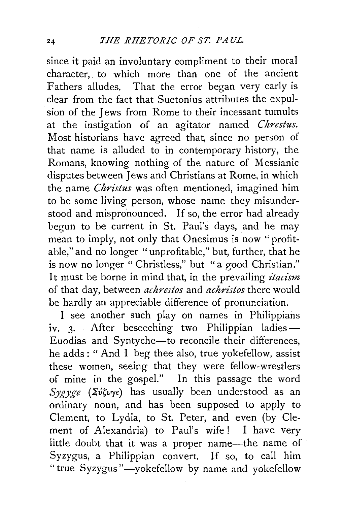since it paid an involuntary compliment to their moral character, to which more than one of the ancient Fathers alludes. That the error began very early is clear from the fact that Suetonius attributes the expul sion of the Jews from Rome to their incessant tumults at the instigation of an agitator named *Chrestus.*  Most historians have agreed that, since no person of that name is alluded to in contemporary history, the Romans, knowing nothing of the nature of Messianic disputes between Jews and Christians at Rome, in which the name *Christus* was often mentioned, imagined him to be some living person, whose name they misunderstood and mispronounced. If so, the error had already begun to be current in St. Paul's days, and he may mean to imply, not only that Onesimus is now "profitable," and no longer "unprofitable," but, further, that he is now no longer " Christless," but "a good Christian." It must be borne in mind that, in the prevailing *itacism*  of that day, between *achrestos* and *achristos* there would be hardly an appreciable difference of pronunciation.

I see another such play on names in Philippians iv. 3. After beseeching two Philippian ladies-Euodias and Syntyche-to reconcile their differences, he adds : " And I beg thee also, true yokefellow, assist these women, seeing that they were fellow-wrestlers of mine in the gospel." In this passage the word *Sygyge* (Σύζυγε) has usually been understood as an ordinary noun, and has been supposed to apply to Clement, to Lydia, to St. Peter, and even (by Clement of Alexandria) to Paul's wife! I have very little doubt that it was a proper name-the name of Syzygus, a Philippian convert. If so, to call him "true Syzygus"-yokefellow by name and yokefellow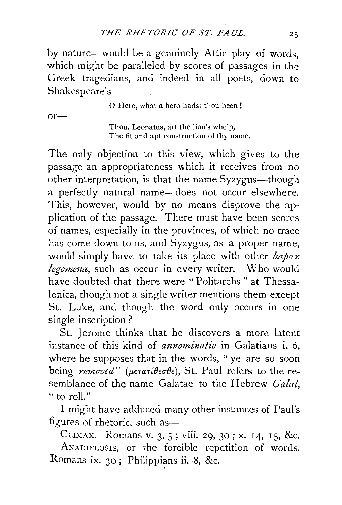by nature-would be a genuinely Attic play of words, which might be paralleled by scores of passages in the Greek tragedians, and indeed in all poets, down to Shakespeare's

0 Hero, what a hero hadst thou been!

 $or-$ 

Thou, Leonatus, art the lion's whelp, The fit and apt construction of thy name.

The only objection to this view, which gives to the passage an appropriateness which it receives from no other interpretation, is that the name Syzygus—though a perfectly natural name-does not occur elsewhere. This, however, would by no means disprove the application of the passage. There must have been scores of names, especially in the provinces, of which no trace has come down to us, and Syzygus, as a proper name, would simply have to take its place with other *hapax legomena,* such as occur in every writer. Who would have doubted that there were "Politarchs" at Thessalonica, though not a single writer mentions them except St. Luke, and though the word only occurs in one single inscription ?

St. Jerome thinks that he discovers a more latent instance of this kind of *annominatio* in Galatians i. 6, where he supposes that in the words, " ye are so soon being *removed"* ( $\mu \epsilon \tau a \tau l \theta \epsilon \sigma \theta \epsilon$ ), St. Paul refers to the resemblance of the name Galatae to the Hebrew *Gala!,*  " to roll."

I might have adduced many other instances of Paul's figures of rhetoric, such as-

CLIMAX. Romans v. 3, 5 ; viii. 29, 30; x. 14, I 5, &c. ANADIPLOSIS, or the forcible repetition of words. Romans ix. 30; Philippians ii. 8, &c.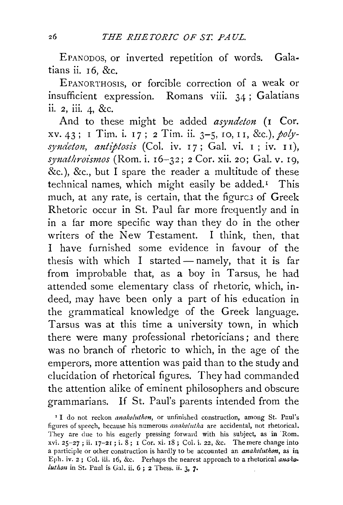EPANODOS, or inverted repetition of words. Galatians ii.  $16, &c.$ 

EPANORTHOSIS, or forcible correction of a weak or insufficient expression. Romans viii. 34 ; Galatians ii. 2, iii. 4, &c.

And to these might be added *asyndeton* (1 Cor. xv. 43; I Tim. i. I 7; 2 Tim. ii. 3-5, 10, I I, &c.), *polysyndeton, antiptosis* (Col. iv. I 7; Gal. vi. I ; iv. I I), *synathroismos* (Rom. i. I6-32; 2 Cor. xii. 20; Gal. v. I9, &c.), &c., but I spare the reader a multitude of these technical names, which might easily be added.<sup>1</sup> This much, at any rate, is certain, that the figures of Greek Rhetoric occur in St. Paul far more frequently and in in a far more specific way than they do in the other writers of the New Testament. I think, then, that I have furnished some evidence in favour of the thesis with which I started — namely, that it is far from improbable that, as a boy in Tarsus, he had attended some elementary class of rhetoric, which, indeed, may have been only a part of his education in the grammatical knowledge of the Greek language. Tarsus was at this time a university town, in which there were many professional rhetoricians ; and there was no branch of rhetoric to which, in the age of the emperors, more attention was paid than to the study and elucidation of rhetorical figures. They had commanded the attention alike of eminent philosophers and obscure grammanans. If St. Paul's parents intended from the

<sup>&</sup>lt;sup>1</sup> I do not reckon *anakoluthon*, or unfinished construction, among St. Paul's figures of speech, because his numerous *anakolutha* are accidental, not rhetorical. They are due to his eagerly pressing forward with his subject, as in Rom. xvi. 25-27 ; ii. 17-21 ; i. 8; 1 Cor. xi. 18 ; Col. i. 22, &c. The mere change into a participle or other construction is hardly to be accounted an *anako!uthon,* as in Eph. iv.  $2$ ; Col. iii. 16, &c. Perhaps the nearest approach to a rhetorical ana  $k$ o*luthon* in St. Paul is Gal. ii. 6; 2 Thess. ii. 3, 7.